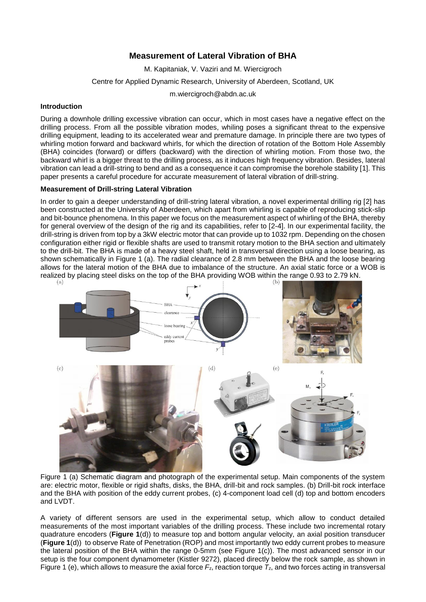# **Measurement of Lateral Vibration of BHA**

M. Kapitaniak, V. Vaziri and M. Wiercigroch

Centre for Applied Dynamic Research, University of Aberdeen, Scotland, UK

m.wiercigroch@abdn.ac.uk

### **Introduction**

During a downhole drilling excessive vibration can occur, which in most cases have a negative effect on the drilling process. From all the possible vibration modes, whiling poses a significant threat to the expensive drilling equipment, leading to its accelerated wear and premature damage. In principle there are two types of whirling motion forward and backward whirls, for which the direction of rotation of the Bottom Hole Assembly (BHA) coincides (forward) or differs (backward) with the direction of whirling motion. From those two, the backward whirl is a bigger threat to the drilling process, as it induces high frequency vibration. Besides, lateral vibration can lead a drill-string to bend and as a consequence it can compromise the borehole stability [1]. This paper presents a careful procedure for accurate measurement of lateral vibration of drill-string.

### **Measurement of Drill-string Lateral Vibration**

In order to gain a deeper understanding of drill-string lateral vibration, a novel experimental drilling rig [2] has been constructed at the University of Aberdeen, which apart from whirling is capable of reproducing stick-slip and bit-bounce phenomena. In this paper we focus on the measurement aspect of whirling of the BHA, thereby for general overview of the design of the rig and its capabilities, refer to [2-4]. In our experimental facility, the drill-string is driven from top by a 3kW electric motor that can provide up to 1032 rpm. Depending on the chosen configuration either rigid or flexible shafts are used to transmit rotary motion to the BHA section and ultimately to the drill-bit. The BHA is made of a heavy steel shaft, held in transversal direction using a loose bearing, as shown schematically in [Figure 1](#page-0-0) (a). The radial clearance of 2.8 mm between the BHA and the loose bearing allows for the lateral motion of the BHA due to imbalance of the structure. An axial static force or a WOB is realized by placing steel disks on the top of the BHA providing WOB within the range 0.93 to 2.79 kN.



<span id="page-0-0"></span>Figure 1 (a) Schematic diagram and photograph of the experimental setup. Main components of the system are: electric motor, flexible or rigid shafts, disks, the BHA, drill-bit and rock samples. (b) Drill-bit rock interface and the BHA with position of the eddy current probes, (c) 4-component load cell (d) top and bottom encoders and LVDT.

A variety of different sensors are used in the experimental setup, which allow to conduct detailed measurements of the most important variables of the drilling process. These include two incremental rotary quadrature encoders (**[Figure 1](#page-0-0)**(d)) to measure top and bottom angular velocity, an axial position transducer (**[Figure 1](#page-0-0)**(d)) to observe Rate of Penetration (ROP) and most importantly two eddy current probes to measure the lateral position of the BHA within the range 0-5mm (see [Figure 1\(](#page-0-0)c)). The most advanced sensor in our setup is the four component dynamometer (Kistler 9272), placed directly below the rock sample, as shown in [Figure 1](#page-0-0) (e), which allows to measure the axial force  $F_z$ , reaction torque  $T_z$ , and two forces acting in transversal